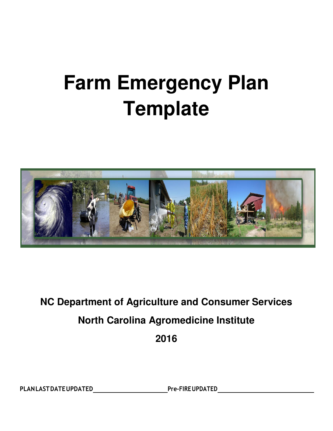# **Farm Emergency Plan Template**



## **NC Department of Agriculture and Consumer Services North Carolina Agromedicine Institute 2016**

PLAN LAST DATE UPDATED Pre-FIRE UPDATED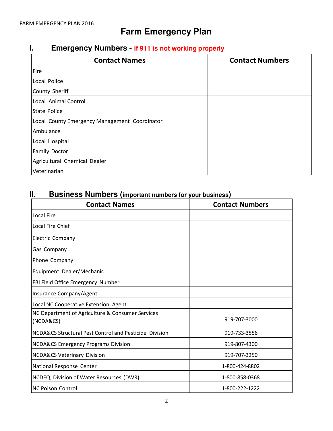## **Farm Emergency Plan**

## **I. Emergency Numbers - if 911 is not working properly**

| <b>Contact Names</b>                          | <b>Contact Numbers</b> |  |  |
|-----------------------------------------------|------------------------|--|--|
| Fire                                          |                        |  |  |
| Local Police                                  |                        |  |  |
| County Sheriff                                |                        |  |  |
| Local Animal Control                          |                        |  |  |
| <b>State Police</b>                           |                        |  |  |
| Local County Emergency Management Coordinator |                        |  |  |
| Ambulance                                     |                        |  |  |
| Local Hospital                                |                        |  |  |
| <b>Family Doctor</b>                          |                        |  |  |
| Agricultural Chemical Dealer                  |                        |  |  |
| Veterinarian                                  |                        |  |  |

## **II. Business Numbers (important numbers for your business)**

| <b>Contact Names</b>                                          | <b>Contact Numbers</b> |
|---------------------------------------------------------------|------------------------|
| Local Fire                                                    |                        |
| <b>Local Fire Chief</b>                                       |                        |
| <b>Electric Company</b>                                       |                        |
| Gas Company                                                   |                        |
| Phone Company                                                 |                        |
| Equipment Dealer/Mechanic                                     |                        |
| FBI Field Office Emergency Number                             |                        |
| Insurance Company/Agent                                       |                        |
| Local NC Cooperative Extension Agent                          |                        |
| NC Department of Agriculture & Consumer Services<br>(NCDA&CS) | 919-707-3000           |
| NCDA&CS Structural Pest Control and Pesticide Division        | 919-733-3556           |
| <b>NCDA&amp;CS Emergency Programs Division</b>                | 919-807-4300           |
| <b>NCDA&amp;CS Veterinary Division</b>                        | 919-707-3250           |
| National Response Center                                      | 1-800-424-8802         |
| NCDEQ, Division of Water Resources (DWR)                      | 1-800-858-0368         |
| <b>NC Poison Control</b>                                      | 1-800-222-1222         |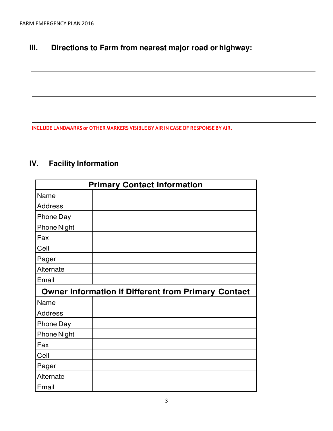## **III. Directions to Farm from nearest major road or highway:**

**INCLUDE LANDMARKS or OTHER MARKERS VISIBLE BY AIR IN CASE OF RESPONSE BY AIR.**

## **IV. Facility Information**

| <b>Primary Contact Information</b>                         |  |  |  |  |
|------------------------------------------------------------|--|--|--|--|
| Name                                                       |  |  |  |  |
| <b>Address</b>                                             |  |  |  |  |
| Phone Day                                                  |  |  |  |  |
| <b>Phone Night</b>                                         |  |  |  |  |
| Fax                                                        |  |  |  |  |
| Cell                                                       |  |  |  |  |
| Pager                                                      |  |  |  |  |
| Alternate                                                  |  |  |  |  |
| Email                                                      |  |  |  |  |
| <b>Owner Information if Different from Primary Contact</b> |  |  |  |  |
|                                                            |  |  |  |  |
| Name                                                       |  |  |  |  |
| <b>Address</b>                                             |  |  |  |  |
| <b>Phone Day</b>                                           |  |  |  |  |
| <b>Phone Night</b>                                         |  |  |  |  |
| Fax                                                        |  |  |  |  |
| Cell                                                       |  |  |  |  |
| Pager                                                      |  |  |  |  |
| Alternate                                                  |  |  |  |  |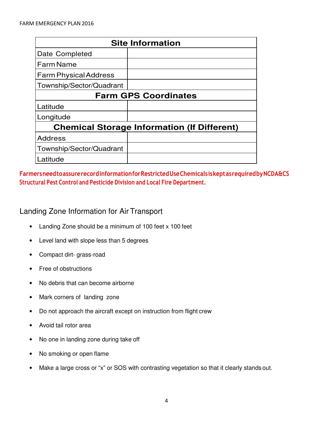| <b>Site Information</b>                            |  |  |  |  |
|----------------------------------------------------|--|--|--|--|
| Date Completed                                     |  |  |  |  |
| <b>Farm Name</b>                                   |  |  |  |  |
| <b>Farm Physical Address</b>                       |  |  |  |  |
| Township/Sector/Quadrant                           |  |  |  |  |
| <b>Farm GPS Coordinates</b>                        |  |  |  |  |
| Latitude                                           |  |  |  |  |
| Longitude                                          |  |  |  |  |
| <b>Chemical Storage Information (If Different)</b> |  |  |  |  |
| <b>Address</b>                                     |  |  |  |  |
| Township/Sector/Quadrant                           |  |  |  |  |
| Latitude                                           |  |  |  |  |

#### **Farmers need to assure record information for Restricted Use Chemicals is kept as required by NCDA&CS Structural Pest Control and Pesticide Division and Local Fire Department.**

#### Landing Zone Information for Air Transport

- Landing Zone should be a minimum of 100 feet x 100 feet
- Level land with slope less than 5 degrees
- Compact dirt- grass-road
- Free of obstructions
- No debris that can become airborne
- Mark corners of landing zone
- Do not approach the aircraft except on instruction from flight crew
- Avoid tail rotor area
- No one in landing zone during take off
- No smoking or open flame
- Make a large cross or "x" or SOS with contrasting vegetation so that it clearly stands out.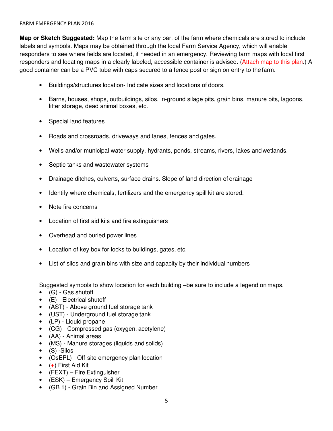#### FARM EMERGENCY PLAN2016

**Map or Sketch Suggested:** Map the farm site or any part of the farm where chemicals are stored to include labels and symbols. Maps may be obtained through the local Farm Service Agency, which will enable responders to see where fields are located, if needed in an emergency. Reviewing farm maps with local first responders and locating maps in a clearly labeled, accessible container is advised. (Attach map to this plan.) A good container can be a PVC tube with caps secured to a fence post or sign on entry to the farm.

- Buildings/structures location- Indicate sizes and locations of doors.
- Barns, houses, shops, outbuildings, silos, in-ground silage pits, grain bins, manure pits, lagoons, litter storage, dead animal boxes, etc.
- Special land features
- Roads and crossroads, driveways and lanes, fences and gates.
- Wells and/or municipal water supply, hydrants, ponds, streams, rivers, lakes and wetlands.
- Septic tanks and wastewater systems
- Drainage ditches, culverts, surface drains. Slope of land-direction of drainage
- Identify where chemicals, fertilizers and the emergency spill kit are stored.
- Note fire concerns
- Location of first aid kits and fire extinguishers
- Overhead and buried power lines
- Location of key box for locks to buildings, gates, etc.
- List of silos and grain bins with size and capacity by their individual numbers

Suggested symbols to show location for each building –be sure to include a legend on maps.

- (G) Gas shutoff
- (E) Electrical shutoff
- (AST) Above ground fuel storage tank
- (UST) Underground fuel storage tank
- (LP) Liquid propane
- (CG) Compressed gas (oxygen, acetylene)
- (AA) Animal areas
- (MS) Manure storages (liquids and solids)
- (S) -Silos
- (OsEPL) Off-site emergency plan location
- (**+**) First Aid Kit
- (FEXT) Fire Extinguisher
- (ESK) Emergency Spill Kit
- (GB 1) Grain Bin and Assigned Number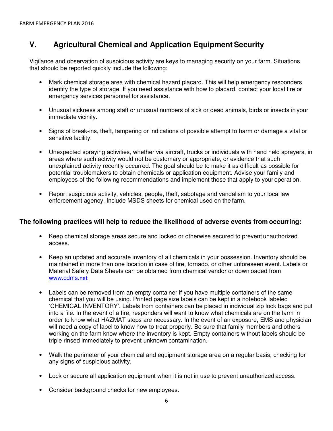## **V. Agricultural Chemical and Application Equipment Security**

Vigilance and observation of suspicious activity are keys to managing security on your farm. Situations that should be reported quickly include the following:

- Mark chemical storage area with chemical hazard placard. This will help emergency responders identify the type of storage. If you need assistance with how to placard, contact your local fire or emergency services personnel for assistance.
- Unusual sickness among staff or unusual numbers of sick or dead animals, birds or insects in your immediate vicinity.
- Signs of break-ins, theft, tampering or indications of possible attempt to harm or damage a vital or sensitive facility.
- Unexpected spraying activities, whether via aircraft, trucks or individuals with hand held sprayers, in areas where such activity would not be customary or appropriate, or evidence that such unexplained activity recently occurred. The goal should be to make it as difficult as possible for potential troublemakers to obtain chemicals or application equipment. Advise your family and employees of the following recommendations and implement those that apply to your operation.
- Report suspicious activity, vehicles, people, theft, sabotage and vandalism to your local law enforcement agency. Include MSDS sheets for chemical used on the farm.

#### **The following practices will help to reduce the likelihood of adverse events from occurring:**

- Keep chemical storage areas secure and locked or otherwise secured to prevent unauthorized access.
- Keep an updated and accurate inventory of all chemicals in your possession. Inventory should be maintained in more than one location in case of fire, tornado, or other unforeseen event. Labels or Material Safety Data Sheets can be obtained from chemical vendor or downloaded from www.cdms.net
- Labels can be removed from an empty container if you have multiple containers of the same chemical that you will be using. Printed page size labels can be kept in a notebook labeled 'CHEMICAL INVENTORY'. Labels from containers can be placed in individual zip lock bags and put into a file. In the event of a fire, responders will want to know what chemicals are on the farm in order to know what HAZMAT steps are necessary. In the event of an exposure, EMS and physician will need a copy of label to know how to treat properly. Be sure that family members and others working on the farm know where the inventory is kept. Empty containers without labels should be triple rinsed immediately to prevent unknown contamination.
- Walk the perimeter of your chemical and equipment storage area on a regular basis, checking for any signs of suspicious activity.
- Lock or secure all application equipment when it is not in use to prevent unauthorized access.
- Consider background checks for new employees.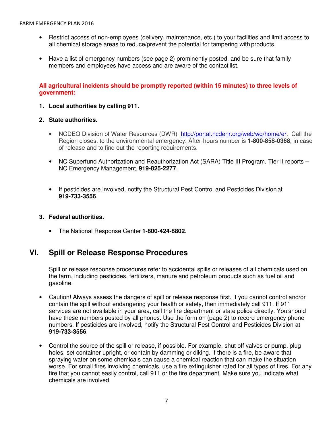- Restrict access of non-employees (delivery, maintenance, etc.) to your facilities and limit access to all chemical storage areas to reduce/prevent the potential for tampering with products.
- Have a list of emergency numbers (see page 2) prominently posted, and be sure that family members and employees have access and are aware of the contact list.

#### **All agricultural incidents should be promptly reported (within 15 minutes) to three levels of government:**

#### **1. Local authorities by calling 911.**

#### **2. State authorities.**

- NCDEQ Division of Water Resources (DWR) http://portal.ncdenr.org/web/wg/home/er. Call the Region closest to the environmental emergency. After-hours number is **1-800-858-0368**, in case of release and to find out the reporting requirements.
- NC Superfund Authorization and Reauthorization Act (SARA) Title III Program, Tier II reports NC Emergency Management, **919-825-2277**.
- If pesticides are involved, notify the Structural Pest Control and Pesticides Division at **919-733-3556**.

#### **3. Federal authorities.**

• The National Response Center **1-800-424-8802**.

#### **VI. Spill or Release Response Procedures**

Spill or release response procedures refer to accidental spills or releases of all chemicals used on the farm, including pesticides, fertilizers, manure and petroleum products such as fuel oil and gasoline.

- Caution! Always assess the dangers of spill or release response first. If you cannot control and/or contain the spill without endangering your health or safety, then immediately call 911. If 911 services are not available in your area, call the fire department or state police directly. You should have these numbers posted by all phones. Use the form on (page 2) to record emergency phone numbers. If pesticides are involved, notify the Structural Pest Control and Pesticides Division at **919-733-3556**.
- Control the source of the spill or release, if possible. For example, shut off valves or pump, plug holes, set container upright, or contain by damming or diking. If there is a fire, be aware that spraying water on some chemicals can cause a chemical reaction that can make the situation worse. For small fires involving chemicals, use a fire extinguisher rated for all types of fires. For any fire that you cannot easily control, call 911 or the fire department. Make sure you indicate what chemicals are involved.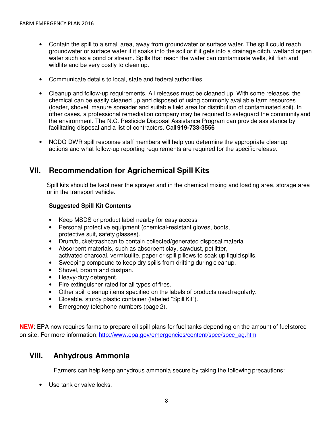- Contain the spill to a small area, away from groundwater or surface water. The spill could reach groundwater or surface water if it soaks into the soil or if it gets into a drainage ditch, wetland or pen water such as a pond or stream. Spills that reach the water can contaminate wells, kill fish and wildlife and be very costly to clean up.
- Communicate details to local, state and federal authorities.
- Cleanup and follow-up requirements. All releases must be cleaned up. With some releases, the chemical can be easily cleaned up and disposed of using commonly available farm resources (loader, shovel, manure spreader and suitable field area for distribution of contaminated soil). In other cases, a professional remediation company may be required to safeguard the community and the environment. The N.C. Pesticide Disposal Assistance Program can provide assistance by facilitating disposal and a list of contractors. Call **919-733-3556**
- NCDQ DWR spill response staff members will help you determine the appropriate cleanup actions and what follow-up reporting requirements are required for the specific release.

## **VII. Recommendation for Agrichemical Spill Kits**

Spill kits should be kept near the sprayer and in the chemical mixing and loading area, storage area or in the transport vehicle.

#### **Suggested Spill Kit Contents**

- Keep MSDS or product label nearby for easy access
- Personal protective equipment (chemical-resistant gloves, boots, protective suit, safety glasses).
- Drum/bucket/trashcan to contain collected/generated disposal material
- Absorbent materials, such as absorbent clay, sawdust, pet litter, activated charcoal, vermiculite, paper or spill pillows to soak up liquid spills.
- Sweeping compound to keep dry spills from drifting during cleanup.
- Shovel, broom and dustpan.
- Heavy-duty detergent.
- Fire extinguisher rated for all types of fires.
- Other spill cleanup items specified on the labels of products used regularly.
- Closable, sturdy plastic container (labeled "Spill Kit").
- Emergency telephone numbers (page 2).

**NEW**: EPA now requires farms to prepare oil spill plans for fuel tanks depending on the amount of fuel stored on site. For more information; http://www.epa.gov/emergencies/content/spcc/spcc\_ag.htm

#### **VIII. Anhydrous Ammonia**

Farmers can help keep anhydrous ammonia secure by taking the following precautions:

• Use tank or valve locks.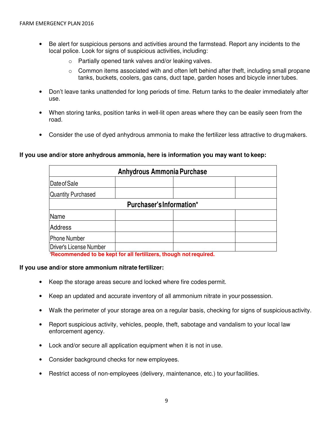- Be alert for suspicious persons and activities around the farmstead. Report any incidents to the local police. Look for signs of suspicious activities, including:
	- o Partially opened tank valves and/or leaking valves.
	- $\circ$  Common items associated with and often left behind after theft, including small propane tanks, buckets, coolers, gas cans, duct tape, garden hoses and bicycle inner tubes.
- Don't leave tanks unattended for long periods of time. Return tanks to the dealer immediately after use.
- When storing tanks, position tanks in well-lit open areas where they can be easily seen from the road.
- Consider the use of dyed anhydrous ammonia to make the fertilizer less attractive to drug makers.

#### **If you use and/or store anhydrous ammonia, here is information you may want to keep:**

| <b>Anhydrous Ammonia Purchase</b> |   |   |     |  |  |  |
|-----------------------------------|---|---|-----|--|--|--|
| Date of Sale                      |   |   |     |  |  |  |
| Quantity Purchased                |   |   |     |  |  |  |
| Purchaser's Information*          |   |   |     |  |  |  |
| Name                              |   |   |     |  |  |  |
| Address                           |   |   |     |  |  |  |
| Phone Number                      |   |   |     |  |  |  |
| Driver's License Number<br>.      | . | . | . . |  |  |  |

\***Recommended to be kept for all fertilizers, though not required.**

#### **If you use and/or store ammonium nitrate fertilizer:**

- Keep the storage areas secure and locked where fire codes permit.
- Keep an updated and accurate inventory of all ammonium nitrate in your possession.
- Walk the perimeter of your storage area on a regular basis, checking for signs of suspicious activity.
- Report suspicious activity, vehicles, people, theft, sabotage and vandalism to your local law enforcement agency.
- Lock and/or secure all application equipment when it is not in use.
- Consider background checks for new employees.
- Restrict access of non-employees (delivery, maintenance, etc.) to your facilities.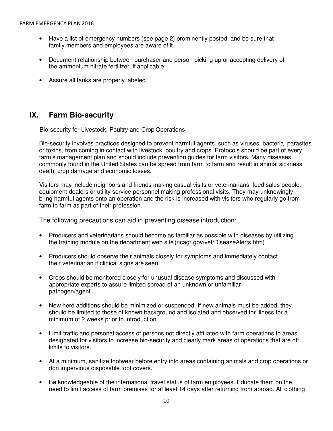- Have a list of emergency numbers (see page 2) prominently posted, and be sure that family members and employees are aware of it.
- Document relationship between purchaser and person picking up or accepting delivery of the ammonium nitrate fertilizer, if applicable.
- Assure all tanks are properly labeled.

## **IX. Farm Bio-security**

Bio-security for Livestock, Poultry and Crop Operations

Bio-security involves practices designed to prevent harmful agents, such as viruses, bacteria, parasites or toxins, from coming in contact with livestock, poultry and crops. Protocols should be part of every farm's management plan and should include prevention guides for farm visitors. Many diseases commonly found in the United States can be spread from farm to farm and result in animal sickness, death, crop damage and economic losses.

Visitors may include neighbors and friends making casual visits or veterinarians, feed sales people, equipment dealers or utility service personnel making professional visits. They may unknowingly bring harmful agents onto an operation and the risk is increased with visitors who regularly go from farm to farm as part of their profession.

The following precautions can aid in preventing disease introduction:

- Producers and veterinarians should become as familiar as possible with diseases by utilizing the training module on the department web site (ncagr.gov/vet/DiseaseAlerts.htm)
- Producers should observe their animals closely for symptoms and immediately contact their veterinarian if clinical signs are seen.
- Crops should be monitored closely for unusual disease symptoms and discussed with appropriate experts to assure limited spread of an unknown or unfamiliar pathogen/agent.
- New herd additions should be minimized or suspended. If new animals must be added, they should be limited to those of known background and isolated and observed for illness for a minimum of 2 weeks prior to introduction.
- Limit traffic and personal access of persons not directly affiliated with farm operations to areas designated for visitors to increase bio-security and clearly mark areas of operations that are off limits to visitors.
- At a minimum, sanitize footwear before entry into areas containing animals and crop operations or don impervious disposable foot covers.
- Be knowledgeable of the international travel status of farm employees. Educate them on the need to limit access of farm premises for at least 14 days after returning from abroad. All clothing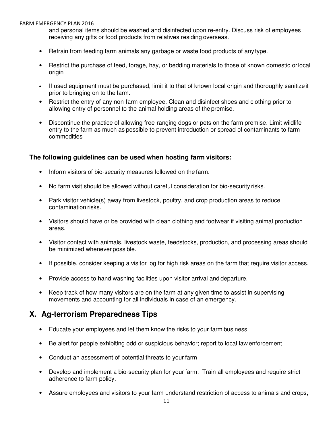#### FARM EMERGENCY PLAN2016

and personal items should be washed and disinfected upon re-entry. Discuss risk of employees receiving any gifts or food products from relatives residing overseas.

- Refrain from feeding farm animals any garbage or waste food products of any type.
- Restrict the purchase of feed, forage, hay, or bedding materials to those of known domestic or local origin
- If used equipment must be purchased, limit it to that of known local origin and thoroughly sanitize it prior to bringing on to the farm.
- Restrict the entry of any non-farm employee. Clean and disinfect shoes and clothing prior to allowing entry of personnel to the animal holding areas of the premise.
- Discontinue the practice of allowing free-ranging dogs or pets on the farm premise. Limit wildlife entry to the farm as much as possible to prevent introduction or spread of contaminants to farm commodities

#### **The following guidelines can be used when hosting farm visitors:**

- Inform visitors of bio-security measures followed on the farm.
- No farm visit should be allowed without careful consideration for bio-security risks.
- Park visitor vehicle(s) away from livestock, poultry, and crop production areas to reduce contamination risks.
- Visitors should have or be provided with clean clothing and footwear if visiting animal production areas.
- Visitor contact with animals, livestock waste, feedstocks, production, and processing areas should be minimized whenever possible.
- If possible, consider keeping a visitor log for high risk areas on the farm that require visitor access.
- Provide access to hand washing facilities upon visitor arrival and departure.
- Keep track of how many visitors are on the farm at any given time to assist in supervising movements and accounting for all individuals in case of an emergency.

#### **X. Ag-terrorism Preparedness Tips**

- Educate your employees and let them know the risks to your farm business
- Be alert for people exhibiting odd or suspicious behavior; report to local law enforcement
- Conduct an assessment of potential threats to your farm
- Develop and implement a bio-security plan for your farm. Train all employees and require strict adherence to farm policy.
- Assure employees and visitors to your farm understand restriction of access to animals and crops,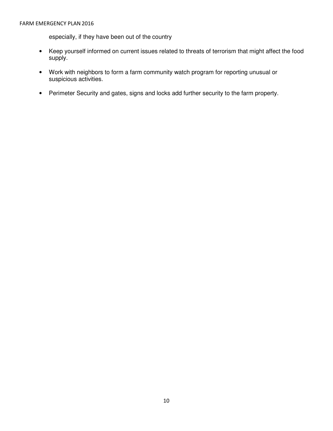especially, if they have been out of the country

- Keep yourself informed on current issues related to threats of terrorism that might affect the food supply.
- Work with neighbors to form a farm community watch program for reporting unusual or suspicious activities.
- Perimeter Security and gates, signs and locks add further security to the farm property.